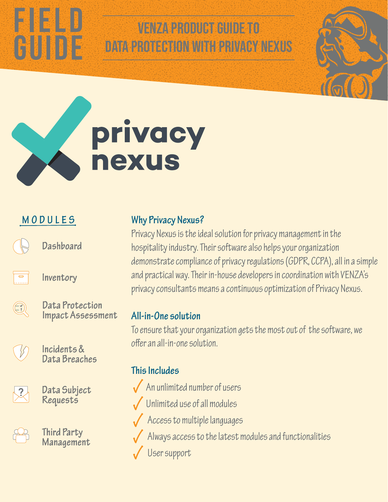# VENZA PRODUCT GUIDE TO data protection with Privacy nexus



## **MODULES**

CUIDE

Dashboard



Inventory



Data Protection Impact Assessment



Incidents & Data Breaches



Data Subject Requests



Third Party Management

#### **Why Privacy Nexus?**

Privacy Nexus is the ideal solution for privacy management in the hospitality industry. Their software also helps your organization demonstrate compliance of privacy regulations (GDPR, CCPA), all in a simple and practical way. Their in-house developers in coordination with VENZA's privacy consultants means a continuous optimization of Privacy Nexus.

#### **All-in-One solution**

To ensure that your organization gets the most out of the software, we offer an all-in-one solution.

#### **This Includes**

- An unlimited number of users
- Unlimited use of all modules
- Access to multiple languages
	- Always access to the latest modules and functionalities
	- User support